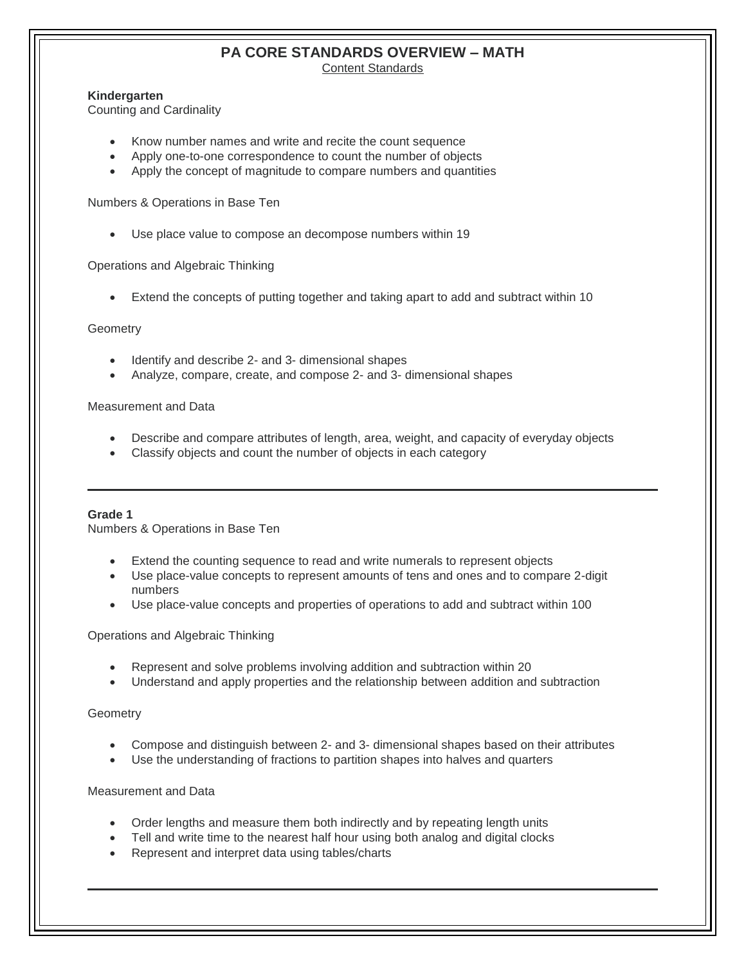# **PA CORE STANDARDS OVERVIEW – MATH**

Content Standards

#### **Kindergarten**

Counting and Cardinality

- Know number names and write and recite the count sequence
- Apply one-to-one correspondence to count the number of objects
- Apply the concept of magnitude to compare numbers and quantities

Numbers & Operations in Base Ten

Use place value to compose an decompose numbers within 19

Operations and Algebraic Thinking

Extend the concepts of putting together and taking apart to add and subtract within 10

#### **Geometry**

- Identify and describe 2- and 3- dimensional shapes
- Analyze, compare, create, and compose 2- and 3- dimensional shapes

Measurement and Data

- Describe and compare attributes of length, area, weight, and capacity of everyday objects
- Classify objects and count the number of objects in each category

#### **Grade 1**

Numbers & Operations in Base Ten

- Extend the counting sequence to read and write numerals to represent objects
- Use place-value concepts to represent amounts of tens and ones and to compare 2-digit numbers
- Use place-value concepts and properties of operations to add and subtract within 100

Operations and Algebraic Thinking

- Represent and solve problems involving addition and subtraction within 20
- Understand and apply properties and the relationship between addition and subtraction

**Geometry** 

- Compose and distinguish between 2- and 3- dimensional shapes based on their attributes
- Use the understanding of fractions to partition shapes into halves and quarters

Measurement and Data

- Order lengths and measure them both indirectly and by repeating length units
- Tell and write time to the nearest half hour using both analog and digital clocks
- Represent and interpret data using tables/charts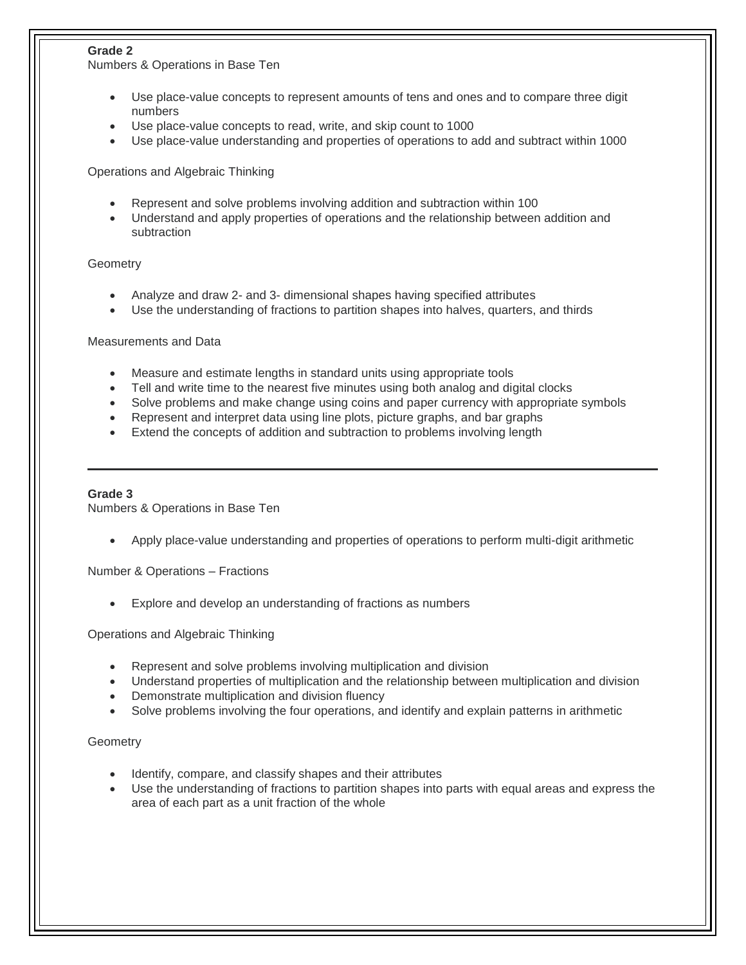## **Grade 2**

Numbers & Operations in Base Ten

- Use place-value concepts to represent amounts of tens and ones and to compare three digit numbers
- Use place-value concepts to read, write, and skip count to 1000
- Use place-value understanding and properties of operations to add and subtract within 1000

Operations and Algebraic Thinking

- Represent and solve problems involving addition and subtraction within 100
- Understand and apply properties of operations and the relationship between addition and subtraction

## **Geometry**

- Analyze and draw 2- and 3- dimensional shapes having specified attributes
- Use the understanding of fractions to partition shapes into halves, quarters, and thirds

Measurements and Data

- Measure and estimate lengths in standard units using appropriate tools
- Tell and write time to the nearest five minutes using both analog and digital clocks
- Solve problems and make change using coins and paper currency with appropriate symbols
- Represent and interpret data using line plots, picture graphs, and bar graphs
- Extend the concepts of addition and subtraction to problems involving length

#### **Grade 3**

Numbers & Operations in Base Ten

Apply place-value understanding and properties of operations to perform multi-digit arithmetic

Number & Operations – Fractions

Explore and develop an understanding of fractions as numbers

Operations and Algebraic Thinking

- Represent and solve problems involving multiplication and division
- Understand properties of multiplication and the relationship between multiplication and division
- Demonstrate multiplication and division fluency
- Solve problems involving the four operations, and identify and explain patterns in arithmetic

## **Geometry**

- Identify, compare, and classify shapes and their attributes
- Use the understanding of fractions to partition shapes into parts with equal areas and express the area of each part as a unit fraction of the whole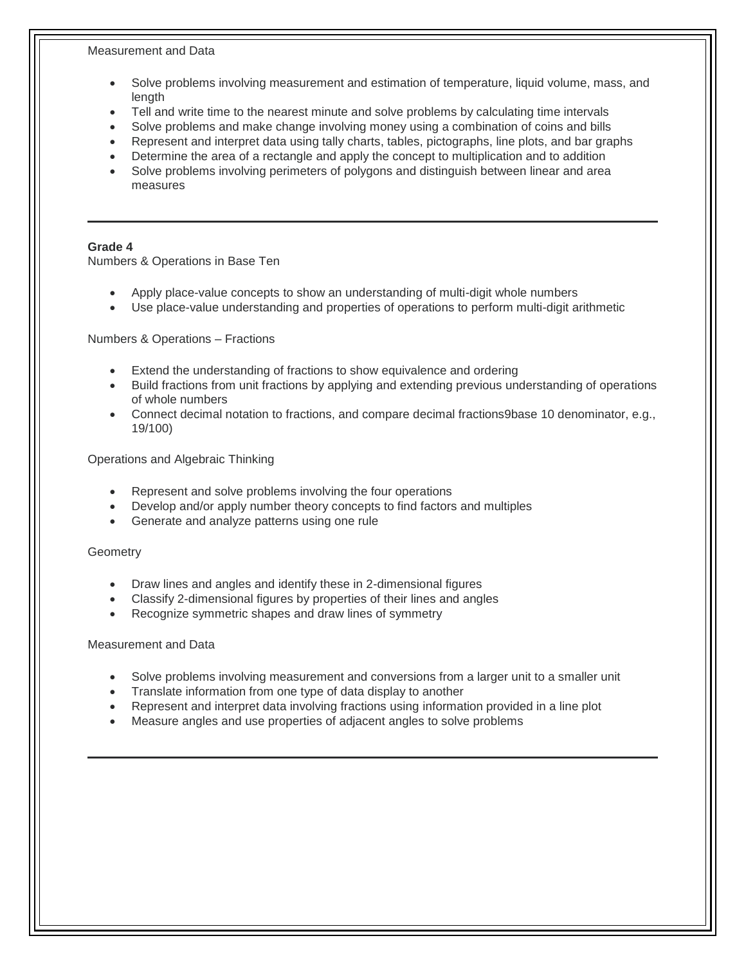#### Measurement and Data

- Solve problems involving measurement and estimation of temperature, liquid volume, mass, and length
- Tell and write time to the nearest minute and solve problems by calculating time intervals
- Solve problems and make change involving money using a combination of coins and bills
- Represent and interpret data using tally charts, tables, pictographs, line plots, and bar graphs
- Determine the area of a rectangle and apply the concept to multiplication and to addition
- Solve problems involving perimeters of polygons and distinguish between linear and area measures

#### **Grade 4**

Numbers & Operations in Base Ten

- Apply place-value concepts to show an understanding of multi-digit whole numbers
- Use place-value understanding and properties of operations to perform multi-digit arithmetic

Numbers & Operations – Fractions

- Extend the understanding of fractions to show equivalence and ordering
- Build fractions from unit fractions by applying and extending previous understanding of operations of whole numbers
- Connect decimal notation to fractions, and compare decimal fractions9base 10 denominator, e.g., 19/100)

Operations and Algebraic Thinking

- Represent and solve problems involving the four operations
- Develop and/or apply number theory concepts to find factors and multiples
- Generate and analyze patterns using one rule

**Geometry** 

- Draw lines and angles and identify these in 2-dimensional figures
- Classify 2-dimensional figures by properties of their lines and angles
- Recognize symmetric shapes and draw lines of symmetry

Measurement and Data

- Solve problems involving measurement and conversions from a larger unit to a smaller unit
- Translate information from one type of data display to another
- Represent and interpret data involving fractions using information provided in a line plot
- Measure angles and use properties of adjacent angles to solve problems